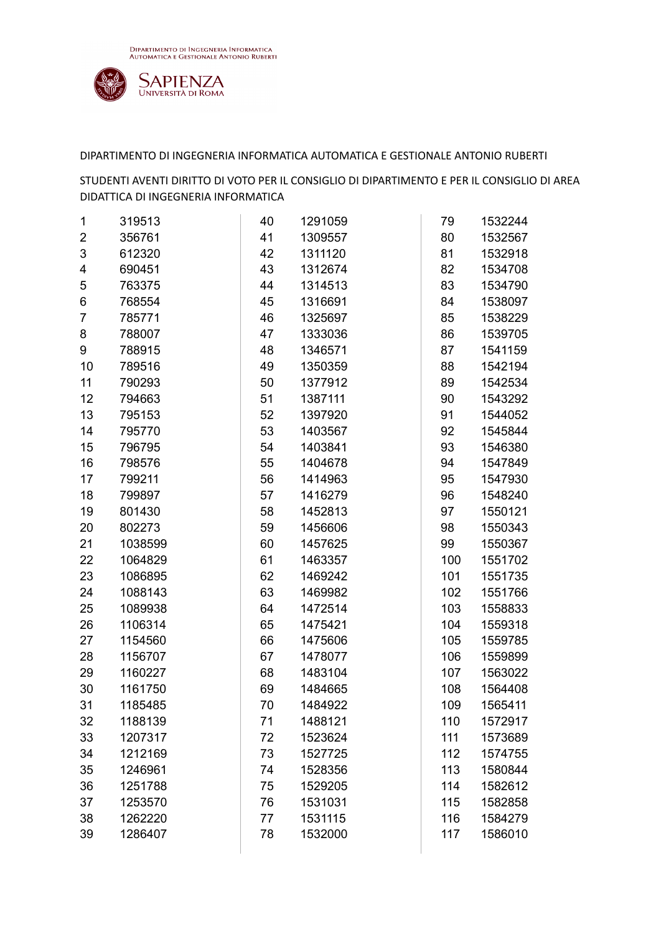

| 1  | 319513  | 40 | 1291059 | 79  | 1532244 |
|----|---------|----|---------|-----|---------|
| 2  | 356761  | 41 | 1309557 | 80  | 1532567 |
| 3  | 612320  | 42 | 1311120 | 81  | 1532918 |
| 4  | 690451  | 43 | 1312674 | 82  | 1534708 |
| 5  | 763375  | 44 | 1314513 | 83  | 1534790 |
| 6  | 768554  | 45 | 1316691 | 84  | 1538097 |
| 7  | 785771  | 46 | 1325697 | 85  | 1538229 |
| 8  | 788007  | 47 | 1333036 | 86  | 1539705 |
| 9  | 788915  | 48 | 1346571 | 87  | 1541159 |
| 10 | 789516  | 49 | 1350359 | 88  | 1542194 |
| 11 | 790293  | 50 | 1377912 | 89  | 1542534 |
| 12 | 794663  | 51 | 1387111 | 90  | 1543292 |
| 13 | 795153  | 52 | 1397920 | 91  | 1544052 |
| 14 | 795770  | 53 | 1403567 | 92  | 1545844 |
| 15 | 796795  | 54 | 1403841 | 93  | 1546380 |
| 16 | 798576  | 55 | 1404678 | 94  | 1547849 |
| 17 | 799211  | 56 | 1414963 | 95  | 1547930 |
| 18 | 799897  | 57 | 1416279 | 96  | 1548240 |
| 19 | 801430  | 58 | 1452813 | 97  | 1550121 |
| 20 | 802273  | 59 | 1456606 | 98  | 1550343 |
| 21 | 1038599 | 60 | 1457625 | 99  | 1550367 |
| 22 | 1064829 | 61 | 1463357 | 100 | 1551702 |
| 23 | 1086895 | 62 | 1469242 | 101 | 1551735 |
| 24 | 1088143 | 63 | 1469982 | 102 | 1551766 |
| 25 | 1089938 | 64 | 1472514 | 103 | 1558833 |
| 26 | 1106314 | 65 | 1475421 | 104 | 1559318 |
| 27 | 1154560 | 66 | 1475606 | 105 | 1559785 |
| 28 | 1156707 | 67 | 1478077 | 106 | 1559899 |
| 29 | 1160227 | 68 | 1483104 | 107 | 1563022 |
| 30 | 1161750 | 69 | 1484665 | 108 | 1564408 |
| 31 | 1185485 | 70 | 1484922 | 109 | 1565411 |
| 32 | 1188139 | 71 | 1488121 | 110 | 1572917 |
| 33 | 1207317 | 72 | 1523624 | 111 | 1573689 |
| 34 | 1212169 | 73 | 1527725 | 112 | 1574755 |
| 35 | 1246961 | 74 | 1528356 | 113 | 1580844 |
| 36 | 1251788 | 75 | 1529205 | 114 | 1582612 |
| 37 | 1253570 | 76 | 1531031 | 115 | 1582858 |
| 38 | 1262220 | 77 | 1531115 | 116 | 1584279 |
| 39 | 1286407 | 78 | 1532000 | 117 | 1586010 |
|    |         |    |         |     |         |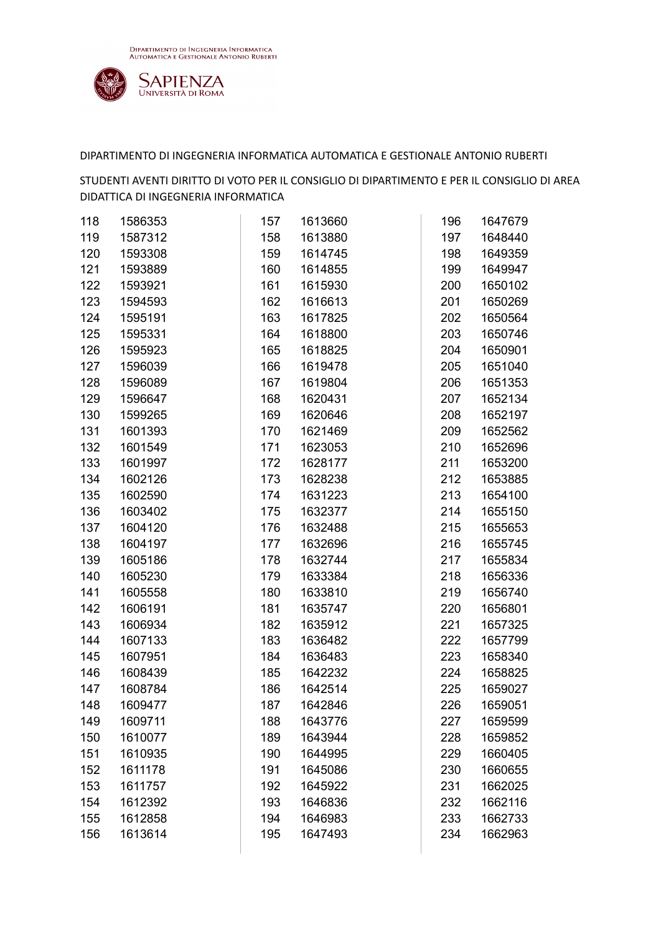

| 118 | 1586353 | 157 | 1613660 | 196 | 1647679 |
|-----|---------|-----|---------|-----|---------|
| 119 | 1587312 | 158 | 1613880 | 197 | 1648440 |
| 120 | 1593308 | 159 | 1614745 | 198 | 1649359 |
| 121 | 1593889 | 160 | 1614855 | 199 | 1649947 |
| 122 | 1593921 | 161 | 1615930 | 200 | 1650102 |
| 123 | 1594593 | 162 | 1616613 | 201 | 1650269 |
| 124 | 1595191 | 163 | 1617825 | 202 | 1650564 |
| 125 | 1595331 | 164 | 1618800 | 203 | 1650746 |
| 126 | 1595923 | 165 | 1618825 | 204 | 1650901 |
| 127 | 1596039 | 166 | 1619478 | 205 | 1651040 |
| 128 | 1596089 | 167 | 1619804 | 206 | 1651353 |
| 129 | 1596647 | 168 | 1620431 | 207 | 1652134 |
| 130 | 1599265 | 169 | 1620646 | 208 | 1652197 |
| 131 | 1601393 | 170 | 1621469 | 209 | 1652562 |
| 132 | 1601549 | 171 | 1623053 | 210 | 1652696 |
| 133 | 1601997 | 172 | 1628177 | 211 | 1653200 |
| 134 | 1602126 | 173 | 1628238 | 212 | 1653885 |
| 135 | 1602590 | 174 | 1631223 | 213 | 1654100 |
| 136 | 1603402 | 175 | 1632377 | 214 | 1655150 |
| 137 | 1604120 | 176 | 1632488 | 215 | 1655653 |
| 138 | 1604197 | 177 | 1632696 | 216 | 1655745 |
| 139 | 1605186 | 178 | 1632744 | 217 | 1655834 |
| 140 | 1605230 | 179 | 1633384 | 218 | 1656336 |
| 141 | 1605558 | 180 | 1633810 | 219 | 1656740 |
| 142 | 1606191 | 181 | 1635747 | 220 | 1656801 |
| 143 | 1606934 | 182 | 1635912 | 221 | 1657325 |
| 144 | 1607133 | 183 | 1636482 | 222 | 1657799 |
| 145 | 1607951 | 184 | 1636483 | 223 | 1658340 |
| 146 | 1608439 | 185 | 1642232 | 224 | 1658825 |
| 147 | 1608784 | 186 | 1642514 | 225 | 1659027 |
| 148 | 1609477 | 187 | 1642846 | 226 | 1659051 |
| 149 | 1609711 | 188 | 1643776 | 227 | 1659599 |
| 150 | 1610077 | 189 | 1643944 | 228 | 1659852 |
| 151 | 1610935 | 190 | 1644995 | 229 | 1660405 |
| 152 | 1611178 | 191 | 1645086 | 230 | 1660655 |
| 153 | 1611757 | 192 | 1645922 | 231 | 1662025 |
| 154 | 1612392 | 193 | 1646836 | 232 | 1662116 |
| 155 | 1612858 | 194 | 1646983 | 233 | 1662733 |
| 156 | 1613614 | 195 | 1647493 | 234 | 1662963 |
|     |         |     |         |     |         |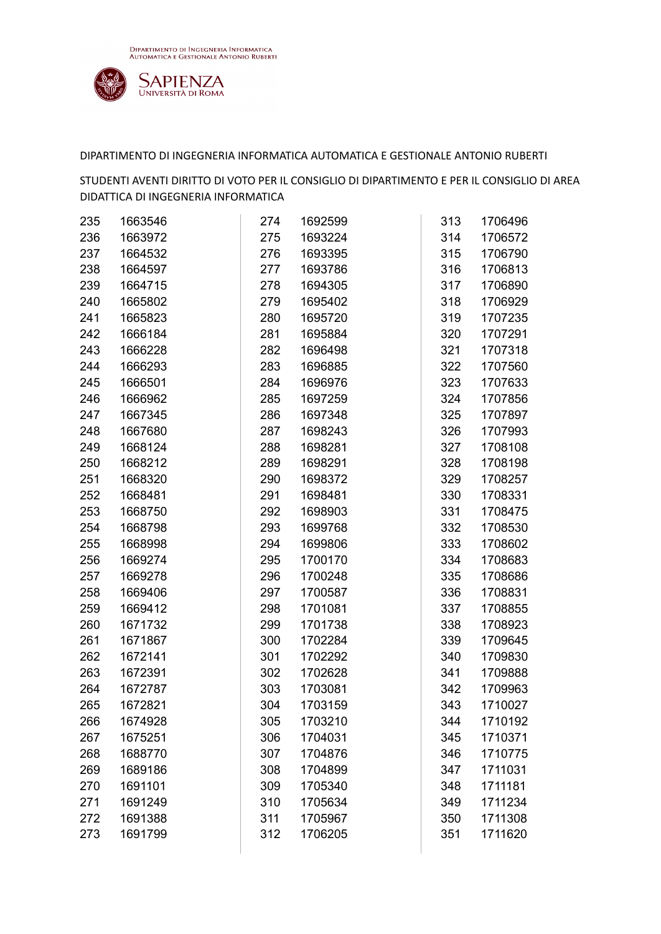

| 235 | 1663546 | 274 | 1692599 | 313 | 1706496 |
|-----|---------|-----|---------|-----|---------|
| 236 | 1663972 | 275 | 1693224 | 314 | 1706572 |
| 237 | 1664532 | 276 | 1693395 | 315 | 1706790 |
| 238 | 1664597 | 277 | 1693786 | 316 | 1706813 |
| 239 | 1664715 | 278 | 1694305 | 317 | 1706890 |
| 240 | 1665802 | 279 | 1695402 | 318 | 1706929 |
| 241 | 1665823 | 280 | 1695720 | 319 | 1707235 |
| 242 | 1666184 | 281 | 1695884 | 320 | 1707291 |
| 243 | 1666228 | 282 | 1696498 | 321 | 1707318 |
| 244 | 1666293 | 283 | 1696885 | 322 | 1707560 |
| 245 | 1666501 | 284 | 1696976 | 323 | 1707633 |
| 246 | 1666962 | 285 | 1697259 | 324 | 1707856 |
| 247 | 1667345 | 286 | 1697348 | 325 | 1707897 |
| 248 | 1667680 | 287 | 1698243 | 326 | 1707993 |
| 249 | 1668124 | 288 | 1698281 | 327 | 1708108 |
| 250 | 1668212 | 289 | 1698291 | 328 | 1708198 |
| 251 | 1668320 | 290 | 1698372 | 329 | 1708257 |
| 252 | 1668481 | 291 | 1698481 | 330 | 1708331 |
| 253 | 1668750 | 292 | 1698903 | 331 | 1708475 |
| 254 | 1668798 | 293 | 1699768 | 332 | 1708530 |
| 255 | 1668998 | 294 | 1699806 | 333 | 1708602 |
| 256 | 1669274 | 295 | 1700170 | 334 | 1708683 |
| 257 | 1669278 | 296 | 1700248 | 335 | 1708686 |
| 258 | 1669406 | 297 | 1700587 | 336 | 1708831 |
| 259 | 1669412 | 298 | 1701081 | 337 | 1708855 |
| 260 | 1671732 | 299 | 1701738 | 338 | 1708923 |
| 261 | 1671867 | 300 | 1702284 | 339 | 1709645 |
| 262 | 1672141 | 301 | 1702292 | 340 | 1709830 |
| 263 | 1672391 | 302 | 1702628 | 341 | 1709888 |
| 264 | 1672787 | 303 | 1703081 | 342 | 1709963 |
| 265 | 1672821 | 304 | 1703159 | 343 | 1710027 |
| 266 | 1674928 | 305 | 1703210 | 344 | 1710192 |
| 267 | 1675251 | 306 | 1704031 | 345 | 1710371 |
| 268 | 1688770 | 307 | 1704876 | 346 | 1710775 |
| 269 | 1689186 | 308 | 1704899 | 347 | 1711031 |
| 270 | 1691101 | 309 | 1705340 | 348 | 1711181 |
| 271 | 1691249 | 310 | 1705634 | 349 | 1711234 |
| 272 | 1691388 | 311 | 1705967 | 350 | 1711308 |
| 273 | 1691799 | 312 | 1706205 | 351 | 1711620 |
|     |         |     |         |     |         |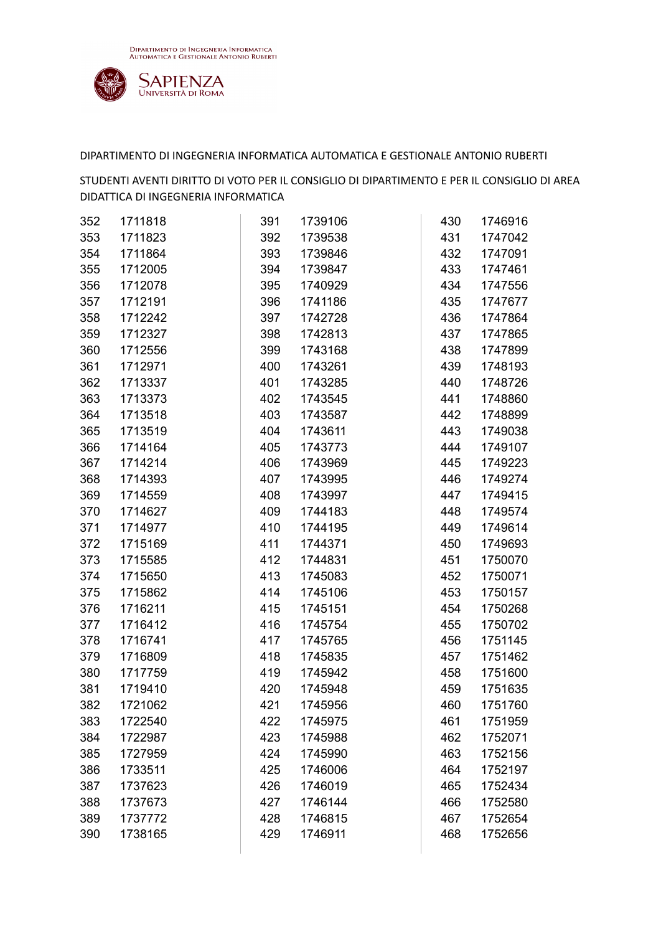

| 352 | 1711818 | 391 | 1739106 | 430 | 1746916 |
|-----|---------|-----|---------|-----|---------|
| 353 | 1711823 | 392 | 1739538 | 431 | 1747042 |
| 354 | 1711864 | 393 | 1739846 | 432 | 1747091 |
| 355 | 1712005 | 394 | 1739847 | 433 | 1747461 |
| 356 | 1712078 | 395 | 1740929 | 434 | 1747556 |
| 357 | 1712191 | 396 | 1741186 | 435 | 1747677 |
| 358 | 1712242 | 397 | 1742728 | 436 | 1747864 |
| 359 | 1712327 | 398 | 1742813 | 437 | 1747865 |
| 360 | 1712556 | 399 | 1743168 | 438 | 1747899 |
| 361 | 1712971 | 400 | 1743261 | 439 | 1748193 |
| 362 | 1713337 | 401 | 1743285 | 440 | 1748726 |
| 363 | 1713373 | 402 | 1743545 | 441 | 1748860 |
| 364 | 1713518 | 403 | 1743587 | 442 | 1748899 |
| 365 | 1713519 | 404 | 1743611 | 443 | 1749038 |
| 366 | 1714164 | 405 | 1743773 | 444 | 1749107 |
| 367 | 1714214 | 406 | 1743969 | 445 | 1749223 |
| 368 | 1714393 | 407 | 1743995 | 446 | 1749274 |
| 369 | 1714559 | 408 | 1743997 | 447 | 1749415 |
| 370 | 1714627 | 409 | 1744183 | 448 | 1749574 |
| 371 | 1714977 | 410 | 1744195 | 449 | 1749614 |
| 372 | 1715169 | 411 | 1744371 | 450 | 1749693 |
| 373 | 1715585 | 412 | 1744831 | 451 | 1750070 |
| 374 | 1715650 | 413 | 1745083 | 452 | 1750071 |
| 375 | 1715862 | 414 | 1745106 | 453 | 1750157 |
| 376 | 1716211 | 415 | 1745151 | 454 | 1750268 |
| 377 | 1716412 | 416 | 1745754 | 455 | 1750702 |
| 378 | 1716741 | 417 | 1745765 | 456 | 1751145 |
| 379 | 1716809 | 418 | 1745835 | 457 | 1751462 |
| 380 | 1717759 | 419 | 1745942 | 458 | 1751600 |
| 381 | 1719410 | 420 | 1745948 | 459 | 1751635 |
| 382 | 1721062 | 421 | 1745956 | 460 | 1751760 |
| 383 | 1722540 | 422 | 1745975 | 461 | 1751959 |
| 384 | 1722987 | 423 | 1745988 | 462 | 1752071 |
| 385 | 1727959 | 424 | 1745990 | 463 | 1752156 |
| 386 | 1733511 | 425 | 1746006 | 464 | 1752197 |
| 387 | 1737623 | 426 | 1746019 | 465 | 1752434 |
| 388 | 1737673 | 427 | 1746144 | 466 | 1752580 |
| 389 | 1737772 | 428 | 1746815 | 467 | 1752654 |
| 390 | 1738165 | 429 | 1746911 | 468 | 1752656 |
|     |         |     |         |     |         |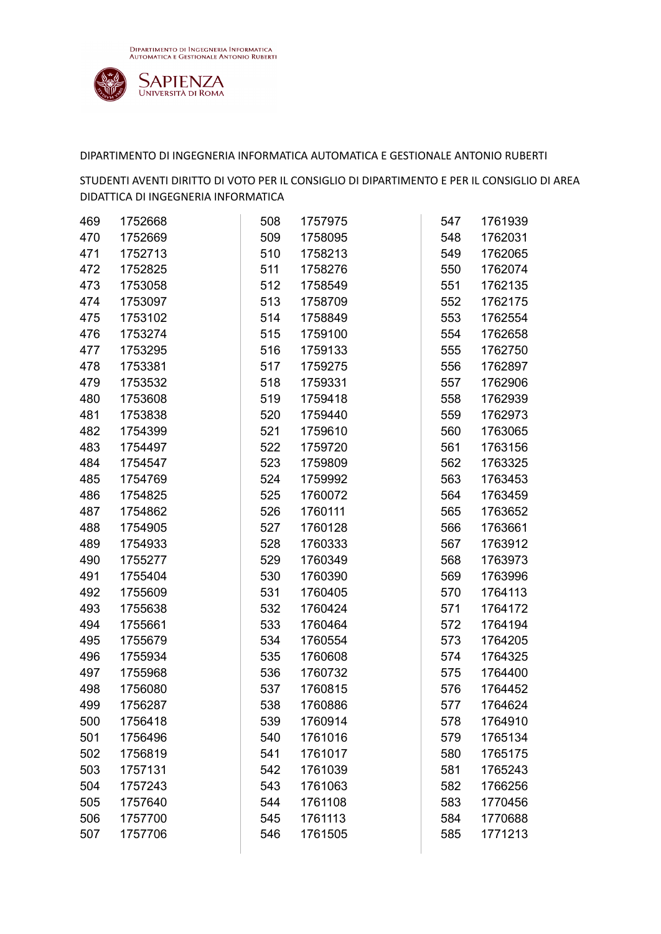

| 469 | 1752668 | 508 | 1757975 | 547 | 1761939 |
|-----|---------|-----|---------|-----|---------|
| 470 | 1752669 | 509 | 1758095 | 548 | 1762031 |
| 471 | 1752713 | 510 | 1758213 | 549 | 1762065 |
| 472 | 1752825 | 511 | 1758276 | 550 | 1762074 |
| 473 | 1753058 | 512 | 1758549 | 551 | 1762135 |
| 474 | 1753097 | 513 | 1758709 | 552 | 1762175 |
| 475 | 1753102 | 514 | 1758849 | 553 | 1762554 |
| 476 | 1753274 | 515 | 1759100 | 554 | 1762658 |
| 477 | 1753295 | 516 | 1759133 | 555 | 1762750 |
| 478 | 1753381 | 517 | 1759275 | 556 | 1762897 |
| 479 | 1753532 | 518 | 1759331 | 557 | 1762906 |
| 480 | 1753608 | 519 | 1759418 | 558 | 1762939 |
| 481 | 1753838 | 520 | 1759440 | 559 | 1762973 |
| 482 | 1754399 | 521 | 1759610 | 560 | 1763065 |
| 483 | 1754497 | 522 | 1759720 | 561 | 1763156 |
| 484 | 1754547 | 523 | 1759809 | 562 | 1763325 |
| 485 | 1754769 | 524 | 1759992 | 563 | 1763453 |
| 486 | 1754825 | 525 | 1760072 | 564 | 1763459 |
| 487 | 1754862 | 526 | 1760111 | 565 | 1763652 |
| 488 | 1754905 | 527 | 1760128 | 566 | 1763661 |
| 489 | 1754933 | 528 | 1760333 | 567 | 1763912 |
| 490 | 1755277 | 529 | 1760349 | 568 | 1763973 |
| 491 | 1755404 | 530 | 1760390 | 569 | 1763996 |
| 492 | 1755609 | 531 | 1760405 | 570 | 1764113 |
| 493 | 1755638 | 532 | 1760424 | 571 | 1764172 |
| 494 | 1755661 | 533 | 1760464 | 572 | 1764194 |
| 495 | 1755679 | 534 | 1760554 | 573 | 1764205 |
| 496 | 1755934 | 535 | 1760608 | 574 | 1764325 |
| 497 | 1755968 | 536 | 1760732 | 575 | 1764400 |
| 498 | 1756080 | 537 | 1760815 | 576 | 1764452 |
| 499 | 1756287 | 538 | 1760886 | 577 | 1764624 |
| 500 | 1756418 | 539 | 1760914 | 578 | 1764910 |
| 501 | 1756496 | 540 | 1761016 | 579 | 1765134 |
| 502 | 1756819 | 541 | 1761017 | 580 | 1765175 |
| 503 | 1757131 | 542 | 1761039 | 581 | 1765243 |
| 504 | 1757243 | 543 | 1761063 | 582 | 1766256 |
| 505 | 1757640 | 544 | 1761108 | 583 | 1770456 |
| 506 | 1757700 | 545 | 1761113 | 584 | 1770688 |
| 507 | 1757706 | 546 | 1761505 | 585 | 1771213 |
|     |         |     |         |     |         |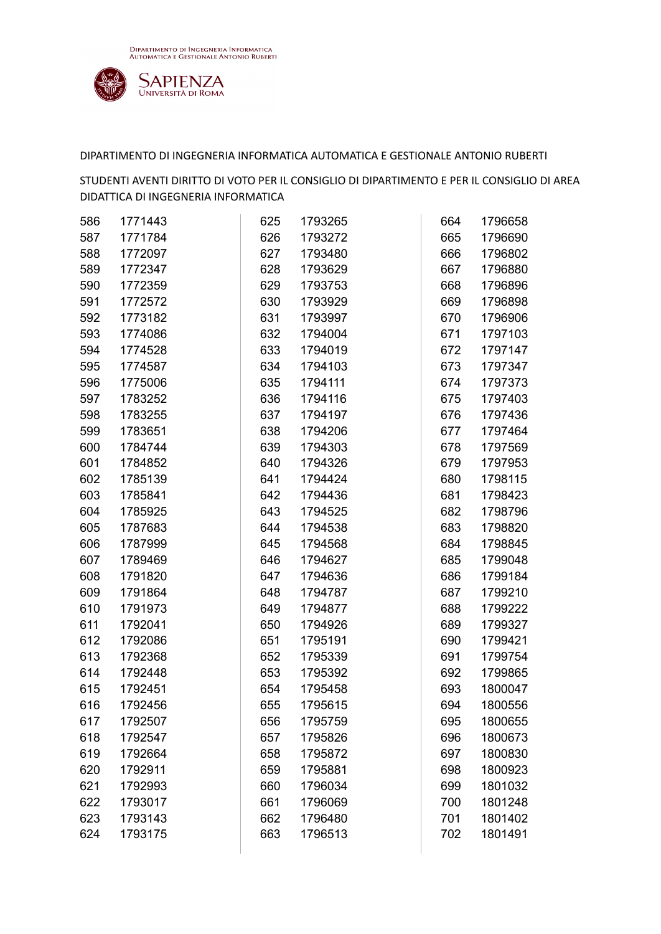

| 586 | 1771443 | 625 | 1793265 | 664 | 1796658 |
|-----|---------|-----|---------|-----|---------|
| 587 | 1771784 | 626 | 1793272 | 665 | 1796690 |
| 588 | 1772097 | 627 | 1793480 | 666 | 1796802 |
| 589 | 1772347 | 628 | 1793629 | 667 | 1796880 |
| 590 | 1772359 | 629 | 1793753 | 668 | 1796896 |
| 591 | 1772572 | 630 | 1793929 | 669 | 1796898 |
| 592 | 1773182 | 631 | 1793997 | 670 | 1796906 |
| 593 | 1774086 | 632 | 1794004 | 671 | 1797103 |
| 594 | 1774528 | 633 | 1794019 | 672 | 1797147 |
| 595 | 1774587 | 634 | 1794103 | 673 | 1797347 |
| 596 | 1775006 | 635 | 1794111 | 674 | 1797373 |
| 597 | 1783252 | 636 | 1794116 | 675 | 1797403 |
| 598 | 1783255 | 637 | 1794197 | 676 | 1797436 |
| 599 | 1783651 | 638 | 1794206 | 677 | 1797464 |
| 600 | 1784744 | 639 | 1794303 | 678 | 1797569 |
| 601 | 1784852 | 640 | 1794326 | 679 | 1797953 |
| 602 | 1785139 | 641 | 1794424 | 680 | 1798115 |
| 603 | 1785841 | 642 | 1794436 | 681 | 1798423 |
| 604 | 1785925 | 643 | 1794525 | 682 | 1798796 |
| 605 | 1787683 | 644 | 1794538 | 683 | 1798820 |
| 606 | 1787999 | 645 | 1794568 | 684 | 1798845 |
| 607 | 1789469 | 646 | 1794627 | 685 | 1799048 |
| 608 | 1791820 | 647 | 1794636 | 686 | 1799184 |
| 609 | 1791864 | 648 | 1794787 | 687 | 1799210 |
| 610 | 1791973 | 649 | 1794877 | 688 | 1799222 |
| 611 | 1792041 | 650 | 1794926 | 689 | 1799327 |
| 612 | 1792086 | 651 | 1795191 | 690 | 1799421 |
| 613 | 1792368 | 652 | 1795339 | 691 | 1799754 |
| 614 | 1792448 | 653 | 1795392 | 692 | 1799865 |
| 615 | 1792451 | 654 | 1795458 | 693 | 1800047 |
| 616 | 1792456 | 655 | 1795615 | 694 | 1800556 |
| 617 | 1792507 | 656 | 1795759 | 695 | 1800655 |
| 618 | 1792547 | 657 | 1795826 | 696 | 1800673 |
| 619 | 1792664 | 658 | 1795872 | 697 | 1800830 |
| 620 | 1792911 | 659 | 1795881 | 698 | 1800923 |
| 621 | 1792993 | 660 | 1796034 | 699 | 1801032 |
| 622 | 1793017 | 661 | 1796069 | 700 | 1801248 |
| 623 | 1793143 | 662 | 1796480 | 701 | 1801402 |
| 624 | 1793175 | 663 | 1796513 | 702 | 1801491 |
|     |         |     |         |     |         |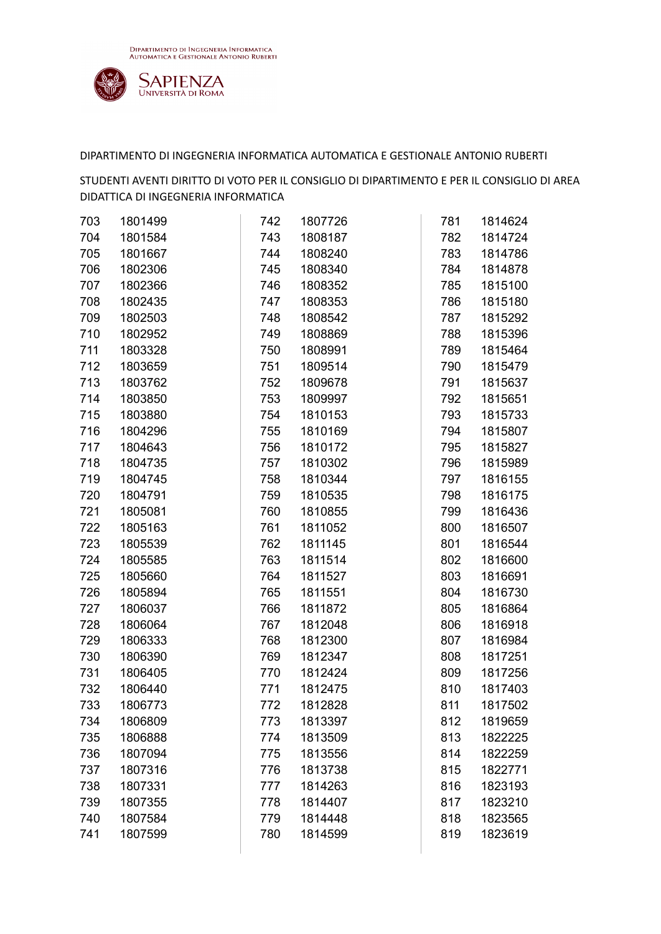

| 703 | 1801499 | 742 | 1807726 | 781 | 1814624 |
|-----|---------|-----|---------|-----|---------|
| 704 | 1801584 | 743 | 1808187 | 782 | 1814724 |
| 705 | 1801667 | 744 | 1808240 | 783 | 1814786 |
| 706 | 1802306 | 745 | 1808340 | 784 | 1814878 |
| 707 | 1802366 | 746 | 1808352 | 785 | 1815100 |
| 708 | 1802435 | 747 | 1808353 | 786 | 1815180 |
| 709 | 1802503 | 748 | 1808542 | 787 | 1815292 |
| 710 | 1802952 | 749 | 1808869 | 788 | 1815396 |
| 711 | 1803328 | 750 | 1808991 | 789 | 1815464 |
| 712 | 1803659 | 751 | 1809514 | 790 | 1815479 |
| 713 | 1803762 | 752 | 1809678 | 791 | 1815637 |
| 714 | 1803850 | 753 | 1809997 | 792 | 1815651 |
| 715 | 1803880 | 754 | 1810153 | 793 | 1815733 |
| 716 | 1804296 | 755 | 1810169 | 794 | 1815807 |
| 717 | 1804643 | 756 | 1810172 | 795 | 1815827 |
| 718 | 1804735 | 757 | 1810302 | 796 | 1815989 |
| 719 | 1804745 | 758 | 1810344 | 797 | 1816155 |
| 720 | 1804791 | 759 | 1810535 | 798 | 1816175 |
| 721 | 1805081 | 760 | 1810855 | 799 | 1816436 |
| 722 | 1805163 | 761 | 1811052 | 800 | 1816507 |
| 723 | 1805539 | 762 | 1811145 | 801 | 1816544 |
| 724 | 1805585 | 763 | 1811514 | 802 | 1816600 |
| 725 | 1805660 | 764 | 1811527 | 803 | 1816691 |
| 726 | 1805894 | 765 | 1811551 | 804 | 1816730 |
| 727 | 1806037 | 766 | 1811872 | 805 | 1816864 |
| 728 | 1806064 | 767 | 1812048 | 806 | 1816918 |
| 729 | 1806333 | 768 | 1812300 | 807 | 1816984 |
| 730 | 1806390 | 769 | 1812347 | 808 | 1817251 |
| 731 | 1806405 | 770 | 1812424 | 809 | 1817256 |
| 732 | 1806440 | 771 | 1812475 | 810 | 1817403 |
| 733 | 1806773 | 772 | 1812828 | 811 | 1817502 |
| 734 | 1806809 | 773 | 1813397 | 812 | 1819659 |
| 735 | 1806888 | 774 | 1813509 | 813 | 1822225 |
| 736 | 1807094 | 775 | 1813556 | 814 | 1822259 |
| 737 | 1807316 | 776 | 1813738 | 815 | 1822771 |
| 738 | 1807331 | 777 | 1814263 | 816 | 1823193 |
| 739 | 1807355 | 778 | 1814407 | 817 | 1823210 |
| 740 | 1807584 | 779 | 1814448 | 818 | 1823565 |
| 741 | 1807599 | 780 | 1814599 | 819 | 1823619 |
|     |         |     |         |     |         |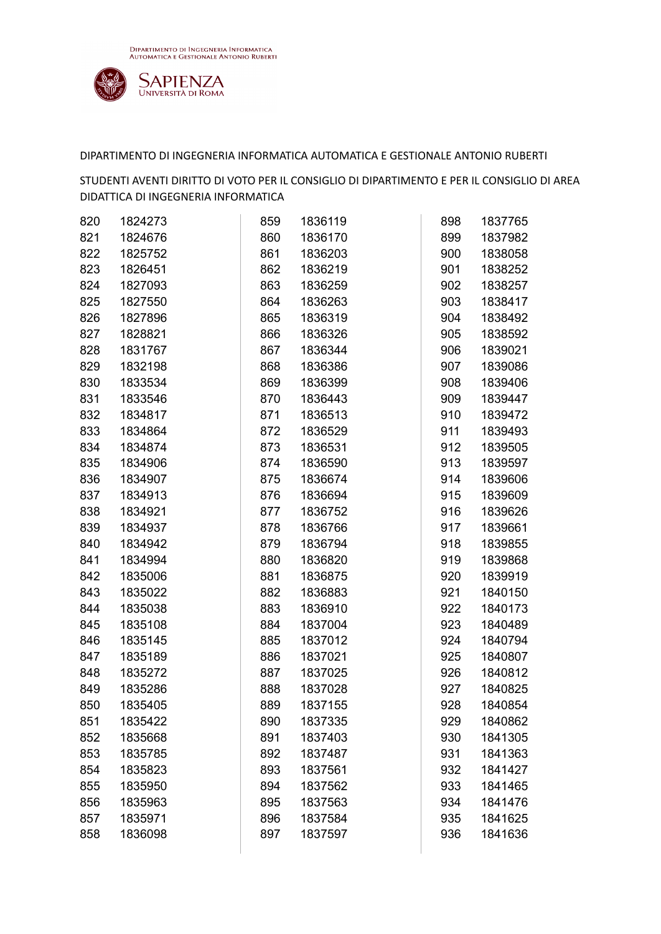

| 820 | 1824273 | 859 | 1836119 | 898 | 1837765 |
|-----|---------|-----|---------|-----|---------|
| 821 | 1824676 | 860 | 1836170 | 899 | 1837982 |
| 822 | 1825752 | 861 | 1836203 | 900 | 1838058 |
| 823 | 1826451 | 862 | 1836219 | 901 | 1838252 |
| 824 | 1827093 | 863 | 1836259 | 902 | 1838257 |
| 825 | 1827550 | 864 | 1836263 | 903 | 1838417 |
| 826 | 1827896 | 865 | 1836319 | 904 | 1838492 |
| 827 | 1828821 | 866 | 1836326 | 905 | 1838592 |
| 828 | 1831767 | 867 | 1836344 | 906 | 1839021 |
| 829 | 1832198 | 868 | 1836386 | 907 | 1839086 |
| 830 | 1833534 | 869 | 1836399 | 908 | 1839406 |
| 831 | 1833546 | 870 | 1836443 | 909 | 1839447 |
| 832 | 1834817 | 871 | 1836513 | 910 | 1839472 |
| 833 | 1834864 | 872 | 1836529 | 911 | 1839493 |
| 834 | 1834874 | 873 | 1836531 | 912 | 1839505 |
| 835 | 1834906 | 874 | 1836590 | 913 | 1839597 |
| 836 | 1834907 | 875 | 1836674 | 914 | 1839606 |
| 837 | 1834913 | 876 | 1836694 | 915 | 1839609 |
| 838 | 1834921 | 877 | 1836752 | 916 | 1839626 |
| 839 | 1834937 | 878 | 1836766 | 917 | 1839661 |
| 840 | 1834942 | 879 | 1836794 | 918 | 1839855 |
| 841 | 1834994 | 880 | 1836820 | 919 | 1839868 |
| 842 | 1835006 | 881 | 1836875 | 920 | 1839919 |
| 843 | 1835022 | 882 | 1836883 | 921 | 1840150 |
| 844 | 1835038 | 883 | 1836910 | 922 | 1840173 |
| 845 | 1835108 | 884 | 1837004 | 923 | 1840489 |
| 846 | 1835145 | 885 | 1837012 | 924 | 1840794 |
| 847 | 1835189 | 886 | 1837021 | 925 | 1840807 |
| 848 | 1835272 | 887 | 1837025 | 926 | 1840812 |
| 849 | 1835286 | 888 | 1837028 | 927 | 1840825 |
| 850 | 1835405 | 889 | 1837155 | 928 | 1840854 |
| 851 | 1835422 | 890 | 1837335 | 929 | 1840862 |
| 852 | 1835668 | 891 | 1837403 | 930 | 1841305 |
| 853 | 1835785 | 892 | 1837487 | 931 | 1841363 |
| 854 | 1835823 | 893 | 1837561 | 932 | 1841427 |
| 855 | 1835950 | 894 | 1837562 | 933 | 1841465 |
| 856 | 1835963 | 895 | 1837563 | 934 | 1841476 |
| 857 | 1835971 | 896 | 1837584 | 935 | 1841625 |
| 858 | 1836098 | 897 | 1837597 | 936 | 1841636 |
|     |         |     |         |     |         |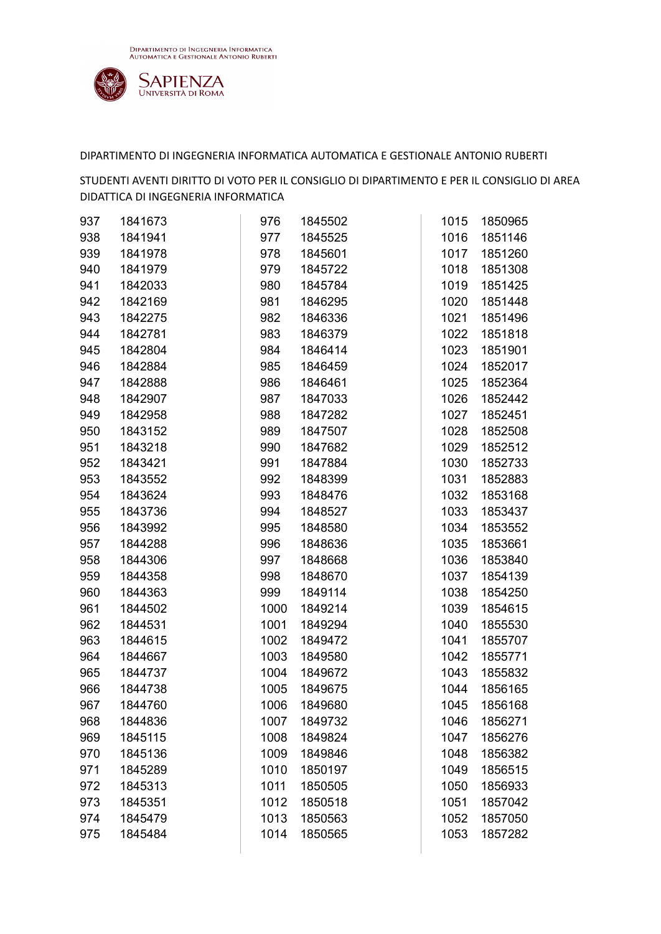

| 937 | 1841673 | 976  | 1845502 | 1015 | 1850965 |
|-----|---------|------|---------|------|---------|
| 938 | 1841941 | 977  | 1845525 | 1016 | 1851146 |
| 939 | 1841978 | 978  | 1845601 | 1017 | 1851260 |
| 940 | 1841979 | 979  | 1845722 | 1018 | 1851308 |
| 941 | 1842033 | 980  | 1845784 | 1019 | 1851425 |
| 942 | 1842169 | 981  | 1846295 | 1020 | 1851448 |
| 943 | 1842275 | 982  | 1846336 | 1021 | 1851496 |
| 944 | 1842781 | 983  | 1846379 | 1022 | 1851818 |
| 945 | 1842804 | 984  | 1846414 | 1023 | 1851901 |
| 946 | 1842884 | 985  | 1846459 | 1024 | 1852017 |
| 947 | 1842888 | 986  | 1846461 | 1025 | 1852364 |
| 948 | 1842907 | 987  | 1847033 | 1026 | 1852442 |
| 949 | 1842958 | 988  | 1847282 | 1027 | 1852451 |
| 950 | 1843152 | 989  | 1847507 | 1028 | 1852508 |
| 951 | 1843218 | 990  | 1847682 | 1029 | 1852512 |
| 952 | 1843421 | 991  | 1847884 | 1030 | 1852733 |
| 953 | 1843552 | 992  | 1848399 | 1031 | 1852883 |
| 954 | 1843624 | 993  | 1848476 | 1032 | 1853168 |
| 955 | 1843736 | 994  | 1848527 | 1033 | 1853437 |
| 956 | 1843992 | 995  | 1848580 | 1034 | 1853552 |
| 957 | 1844288 | 996  | 1848636 | 1035 | 1853661 |
| 958 | 1844306 | 997  | 1848668 | 1036 | 1853840 |
| 959 | 1844358 | 998  | 1848670 | 1037 | 1854139 |
| 960 | 1844363 | 999  | 1849114 | 1038 | 1854250 |
| 961 | 1844502 | 1000 | 1849214 | 1039 | 1854615 |
| 962 | 1844531 | 1001 | 1849294 | 1040 | 1855530 |
| 963 | 1844615 | 1002 | 1849472 | 1041 | 1855707 |
| 964 | 1844667 | 1003 | 1849580 | 1042 | 1855771 |
| 965 | 1844737 | 1004 | 1849672 | 1043 | 1855832 |
| 966 | 1844738 | 1005 | 1849675 | 1044 | 1856165 |
| 967 | 1844760 | 1006 | 1849680 | 1045 | 1856168 |
| 968 | 1844836 | 1007 | 1849732 | 1046 | 1856271 |
| 969 | 1845115 | 1008 | 1849824 | 1047 | 1856276 |
| 970 | 1845136 | 1009 | 1849846 | 1048 | 1856382 |
| 971 | 1845289 | 1010 | 1850197 | 1049 | 1856515 |
| 972 | 1845313 | 1011 | 1850505 | 1050 | 1856933 |
| 973 | 1845351 | 1012 | 1850518 | 1051 | 1857042 |
| 974 | 1845479 | 1013 | 1850563 | 1052 | 1857050 |
| 975 | 1845484 | 1014 | 1850565 | 1053 | 1857282 |
|     |         |      |         |      |         |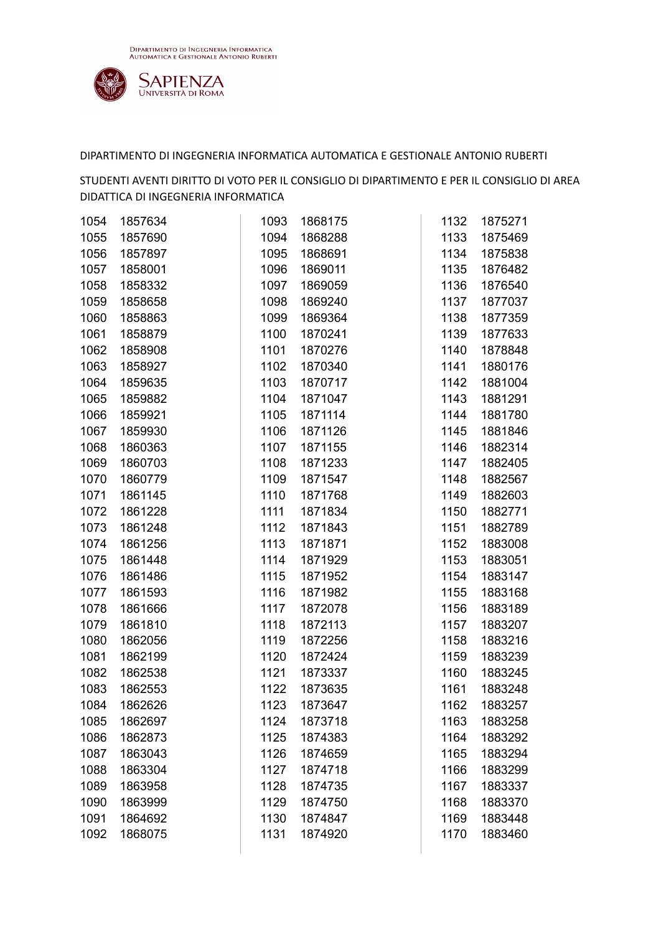

| 1054 | 1857634 | 1093 | 1868175 | 1132 | 1875271 |
|------|---------|------|---------|------|---------|
| 1055 | 1857690 | 1094 | 1868288 | 1133 | 1875469 |
| 1056 | 1857897 | 1095 | 1868691 | 1134 | 1875838 |
| 1057 | 1858001 | 1096 | 1869011 | 1135 | 1876482 |
| 1058 | 1858332 | 1097 | 1869059 | 1136 | 1876540 |
| 1059 | 1858658 | 1098 | 1869240 | 1137 | 1877037 |
| 1060 | 1858863 | 1099 | 1869364 | 1138 | 1877359 |
| 1061 | 1858879 | 1100 | 1870241 | 1139 | 1877633 |
| 1062 | 1858908 | 1101 | 1870276 | 1140 | 1878848 |
| 1063 | 1858927 | 1102 | 1870340 | 1141 | 1880176 |
| 1064 | 1859635 | 1103 | 1870717 | 1142 | 1881004 |
| 1065 | 1859882 | 1104 | 1871047 | 1143 | 1881291 |
| 1066 | 1859921 | 1105 | 1871114 | 1144 | 1881780 |
| 1067 | 1859930 | 1106 | 1871126 | 1145 | 1881846 |
| 1068 | 1860363 | 1107 | 1871155 | 1146 | 1882314 |
| 1069 | 1860703 | 1108 | 1871233 | 1147 | 1882405 |
| 1070 | 1860779 | 1109 | 1871547 | 1148 | 1882567 |
| 1071 | 1861145 | 1110 | 1871768 | 1149 | 1882603 |
| 1072 | 1861228 | 1111 | 1871834 | 1150 | 1882771 |
| 1073 | 1861248 | 1112 | 1871843 | 1151 | 1882789 |
| 1074 | 1861256 | 1113 | 1871871 | 1152 | 1883008 |
| 1075 | 1861448 | 1114 | 1871929 | 1153 | 1883051 |
| 1076 | 1861486 | 1115 | 1871952 | 1154 | 1883147 |
| 1077 | 1861593 | 1116 | 1871982 | 1155 | 1883168 |
| 1078 | 1861666 | 1117 | 1872078 | 1156 | 1883189 |
| 1079 | 1861810 | 1118 | 1872113 | 1157 | 1883207 |
| 1080 | 1862056 | 1119 | 1872256 | 1158 | 1883216 |
| 1081 | 1862199 | 1120 | 1872424 | 1159 | 1883239 |
| 1082 | 1862538 | 1121 | 1873337 | 1160 | 1883245 |
| 1083 | 1862553 | 1122 | 1873635 | 1161 | 1883248 |
| 1084 | 1862626 | 1123 | 1873647 | 1162 | 1883257 |
| 1085 | 1862697 | 1124 | 1873718 | 1163 | 1883258 |
| 1086 | 1862873 | 1125 | 1874383 | 1164 | 1883292 |
| 1087 | 1863043 | 1126 | 1874659 | 1165 | 1883294 |
| 1088 | 1863304 | 1127 | 1874718 | 1166 | 1883299 |
| 1089 | 1863958 | 1128 | 1874735 | 1167 | 1883337 |
| 1090 | 1863999 | 1129 | 1874750 | 1168 | 1883370 |
| 1091 | 1864692 | 1130 | 1874847 | 1169 | 1883448 |
| 1092 | 1868075 | 1131 | 1874920 | 1170 | 1883460 |
|      |         |      |         |      |         |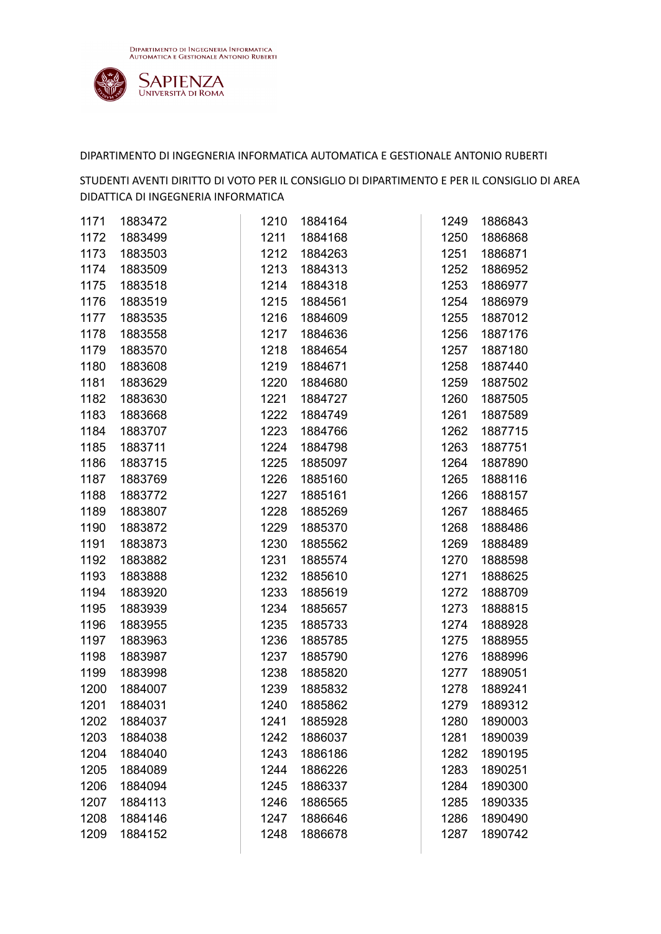

| 1171 | 1883472 | 1210 | 1884164 | 1249 | 1886843 |
|------|---------|------|---------|------|---------|
| 1172 | 1883499 | 1211 | 1884168 | 1250 | 1886868 |
| 1173 | 1883503 | 1212 | 1884263 | 1251 | 1886871 |
| 1174 | 1883509 | 1213 | 1884313 | 1252 | 1886952 |
| 1175 | 1883518 | 1214 | 1884318 | 1253 | 1886977 |
| 1176 | 1883519 | 1215 | 1884561 | 1254 | 1886979 |
| 1177 | 1883535 | 1216 | 1884609 | 1255 | 1887012 |
| 1178 | 1883558 | 1217 | 1884636 | 1256 | 1887176 |
| 1179 | 1883570 | 1218 | 1884654 | 1257 | 1887180 |
| 1180 | 1883608 | 1219 | 1884671 | 1258 | 1887440 |
| 1181 | 1883629 | 1220 | 1884680 | 1259 | 1887502 |
| 1182 | 1883630 | 1221 | 1884727 | 1260 | 1887505 |
| 1183 | 1883668 | 1222 | 1884749 | 1261 | 1887589 |
| 1184 | 1883707 | 1223 | 1884766 | 1262 | 1887715 |
| 1185 | 1883711 | 1224 | 1884798 | 1263 | 1887751 |
| 1186 | 1883715 | 1225 | 1885097 | 1264 | 1887890 |
| 1187 | 1883769 | 1226 | 1885160 | 1265 | 1888116 |
| 1188 | 1883772 | 1227 | 1885161 | 1266 | 1888157 |
| 1189 | 1883807 | 1228 | 1885269 | 1267 | 1888465 |
| 1190 | 1883872 | 1229 | 1885370 | 1268 | 1888486 |
| 1191 | 1883873 | 1230 | 1885562 | 1269 | 1888489 |
| 1192 | 1883882 | 1231 | 1885574 | 1270 | 1888598 |
| 1193 | 1883888 | 1232 | 1885610 | 1271 | 1888625 |
| 1194 | 1883920 | 1233 | 1885619 | 1272 | 1888709 |
| 1195 | 1883939 | 1234 | 1885657 | 1273 | 1888815 |
| 1196 | 1883955 | 1235 | 1885733 | 1274 | 1888928 |
| 1197 | 1883963 | 1236 | 1885785 | 1275 | 1888955 |
| 1198 | 1883987 | 1237 | 1885790 | 1276 | 1888996 |
| 1199 | 1883998 | 1238 | 1885820 | 1277 | 1889051 |
| 1200 | 1884007 | 1239 | 1885832 | 1278 | 1889241 |
| 1201 | 1884031 | 1240 | 1885862 | 1279 | 1889312 |
| 1202 | 1884037 | 1241 | 1885928 | 1280 | 1890003 |
| 1203 | 1884038 | 1242 | 1886037 | 1281 | 1890039 |
| 1204 | 1884040 | 1243 | 1886186 | 1282 | 1890195 |
| 1205 | 1884089 | 1244 | 1886226 | 1283 | 1890251 |
| 1206 | 1884094 | 1245 | 1886337 | 1284 | 1890300 |
| 1207 | 1884113 | 1246 | 1886565 | 1285 | 1890335 |
| 1208 | 1884146 | 1247 | 1886646 | 1286 | 1890490 |
| 1209 | 1884152 | 1248 | 1886678 | 1287 | 1890742 |
|      |         |      |         |      |         |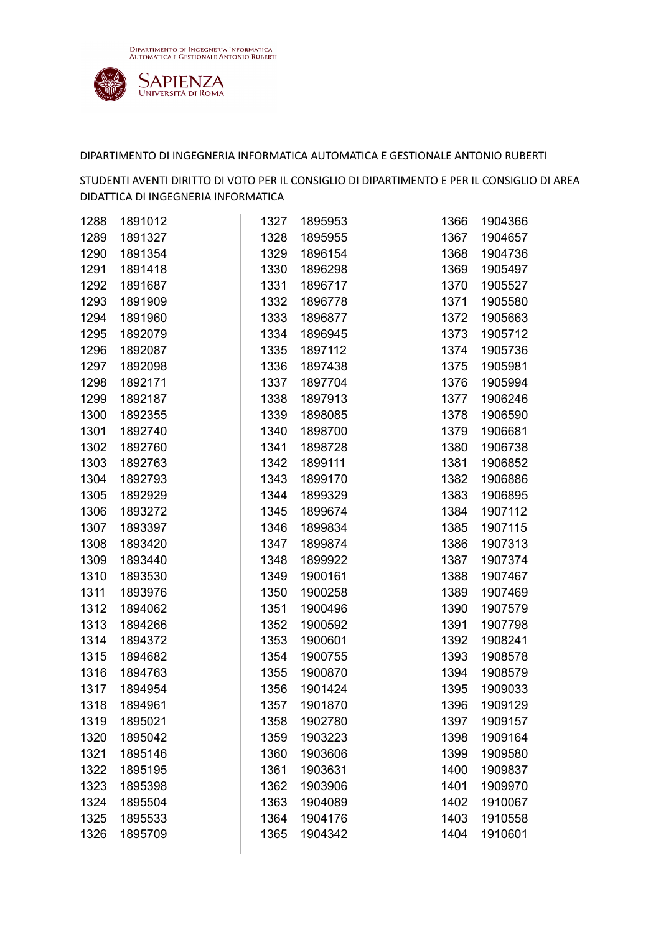

| 1288 | 1891012 | 1327 | 1895953 | 1366 | 1904366 |
|------|---------|------|---------|------|---------|
| 1289 | 1891327 | 1328 | 1895955 | 1367 | 1904657 |
| 1290 | 1891354 | 1329 | 1896154 | 1368 | 1904736 |
| 1291 | 1891418 | 1330 | 1896298 | 1369 | 1905497 |
| 1292 | 1891687 | 1331 | 1896717 | 1370 | 1905527 |
| 1293 | 1891909 | 1332 | 1896778 | 1371 | 1905580 |
| 1294 | 1891960 | 1333 | 1896877 | 1372 | 1905663 |
| 1295 | 1892079 | 1334 | 1896945 | 1373 | 1905712 |
| 1296 | 1892087 | 1335 | 1897112 | 1374 | 1905736 |
| 1297 | 1892098 | 1336 | 1897438 | 1375 | 1905981 |
| 1298 | 1892171 | 1337 | 1897704 | 1376 | 1905994 |
| 1299 | 1892187 | 1338 | 1897913 | 1377 | 1906246 |
| 1300 | 1892355 | 1339 | 1898085 | 1378 | 1906590 |
| 1301 | 1892740 | 1340 | 1898700 | 1379 | 1906681 |
| 1302 | 1892760 | 1341 | 1898728 | 1380 | 1906738 |
| 1303 | 1892763 | 1342 | 1899111 | 1381 | 1906852 |
| 1304 | 1892793 | 1343 | 1899170 | 1382 | 1906886 |
| 1305 | 1892929 | 1344 | 1899329 | 1383 | 1906895 |
| 1306 | 1893272 | 1345 | 1899674 | 1384 | 1907112 |
| 1307 | 1893397 | 1346 | 1899834 | 1385 | 1907115 |
| 1308 | 1893420 | 1347 | 1899874 | 1386 | 1907313 |
| 1309 | 1893440 | 1348 | 1899922 | 1387 | 1907374 |
| 1310 | 1893530 | 1349 | 1900161 | 1388 | 1907467 |
| 1311 | 1893976 | 1350 | 1900258 | 1389 | 1907469 |
| 1312 | 1894062 | 1351 | 1900496 | 1390 | 1907579 |
| 1313 | 1894266 | 1352 | 1900592 | 1391 | 1907798 |
| 1314 | 1894372 | 1353 | 1900601 | 1392 | 1908241 |
| 1315 | 1894682 | 1354 | 1900755 | 1393 | 1908578 |
| 1316 | 1894763 | 1355 | 1900870 | 1394 | 1908579 |
| 1317 | 1894954 | 1356 | 1901424 | 1395 | 1909033 |
| 1318 | 1894961 | 1357 | 1901870 | 1396 | 1909129 |
| 1319 | 1895021 | 1358 | 1902780 | 1397 | 1909157 |
| 1320 | 1895042 | 1359 | 1903223 | 1398 | 1909164 |
| 1321 | 1895146 | 1360 | 1903606 | 1399 | 1909580 |
| 1322 | 1895195 | 1361 | 1903631 | 1400 | 1909837 |
| 1323 | 1895398 | 1362 | 1903906 | 1401 | 1909970 |
| 1324 | 1895504 | 1363 | 1904089 | 1402 | 1910067 |
| 1325 | 1895533 | 1364 | 1904176 | 1403 | 1910558 |
| 1326 | 1895709 | 1365 | 1904342 | 1404 | 1910601 |
|      |         |      |         |      |         |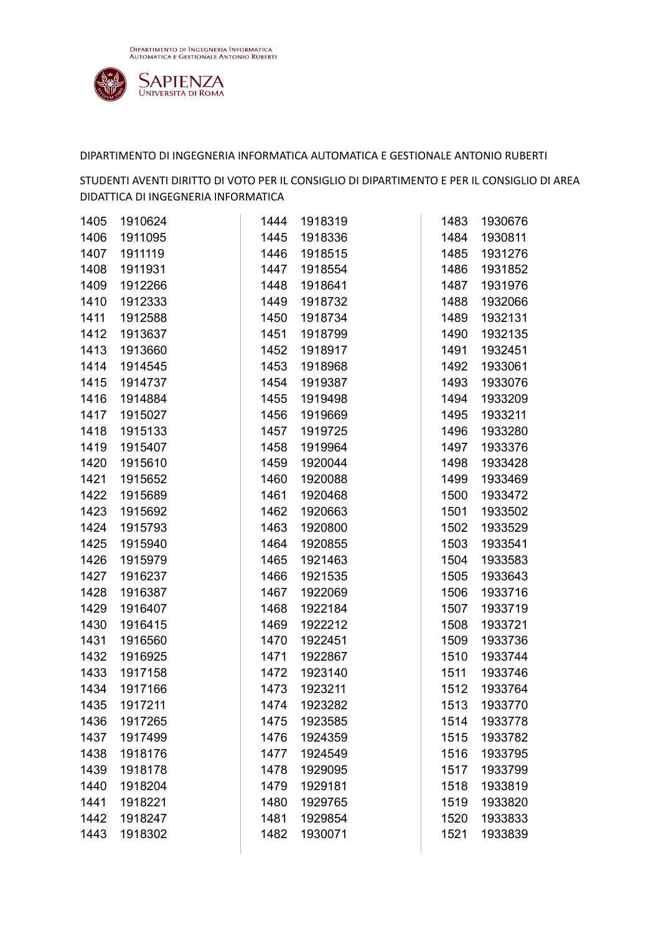

| 1405 | 1910624 | 1444 | 1918319 | 1483 | 1930676 |
|------|---------|------|---------|------|---------|
| 1406 | 1911095 | 1445 | 1918336 | 1484 | 1930811 |
| 1407 | 1911119 | 1446 | 1918515 | 1485 | 1931276 |
| 1408 | 1911931 | 1447 | 1918554 | 1486 | 1931852 |
| 1409 | 1912266 | 1448 | 1918641 | 1487 | 1931976 |
| 1410 | 1912333 | 1449 | 1918732 | 1488 | 1932066 |
| 1411 | 1912588 | 1450 | 1918734 | 1489 | 1932131 |
| 1412 | 1913637 | 1451 | 1918799 | 1490 | 1932135 |
| 1413 | 1913660 | 1452 | 1918917 | 1491 | 1932451 |
| 1414 | 1914545 | 1453 | 1918968 | 1492 | 1933061 |
| 1415 | 1914737 | 1454 | 1919387 | 1493 | 1933076 |
| 1416 | 1914884 | 1455 | 1919498 | 1494 | 1933209 |
| 1417 | 1915027 | 1456 | 1919669 | 1495 | 1933211 |
| 1418 | 1915133 | 1457 | 1919725 | 1496 | 1933280 |
| 1419 | 1915407 | 1458 | 1919964 | 1497 | 1933376 |
| 1420 | 1915610 | 1459 | 1920044 | 1498 | 1933428 |
| 1421 | 1915652 | 1460 | 1920088 | 1499 | 1933469 |
| 1422 | 1915689 | 1461 | 1920468 | 1500 | 1933472 |
| 1423 | 1915692 | 1462 | 1920663 | 1501 | 1933502 |
| 1424 | 1915793 | 1463 | 1920800 | 1502 | 1933529 |
| 1425 | 1915940 | 1464 | 1920855 | 1503 | 1933541 |
| 1426 | 1915979 | 1465 | 1921463 | 1504 | 1933583 |
| 1427 | 1916237 | 1466 | 1921535 | 1505 | 1933643 |
| 1428 | 1916387 | 1467 | 1922069 | 1506 | 1933716 |
| 1429 | 1916407 | 1468 | 1922184 | 1507 | 1933719 |
| 1430 | 1916415 | 1469 | 1922212 | 1508 | 1933721 |
| 1431 | 1916560 | 1470 | 1922451 | 1509 | 1933736 |
| 1432 | 1916925 | 1471 | 1922867 | 1510 | 1933744 |
| 1433 | 1917158 | 1472 | 1923140 | 1511 | 1933746 |
| 1434 | 1917166 | 1473 | 1923211 | 1512 | 1933764 |
| 1435 | 1917211 | 1474 | 1923282 | 1513 | 1933770 |
| 1436 | 1917265 | 1475 | 1923585 | 1514 | 1933778 |
| 1437 | 1917499 | 1476 | 1924359 | 1515 | 1933782 |
| 1438 | 1918176 | 1477 | 1924549 | 1516 | 1933795 |
| 1439 | 1918178 | 1478 | 1929095 | 1517 | 1933799 |
| 1440 | 1918204 | 1479 | 1929181 | 1518 | 1933819 |
| 1441 | 1918221 | 1480 | 1929765 | 1519 | 1933820 |
| 1442 | 1918247 | 1481 | 1929854 | 1520 | 1933833 |
| 1443 | 1918302 | 1482 | 1930071 | 1521 | 1933839 |
|      |         |      |         |      |         |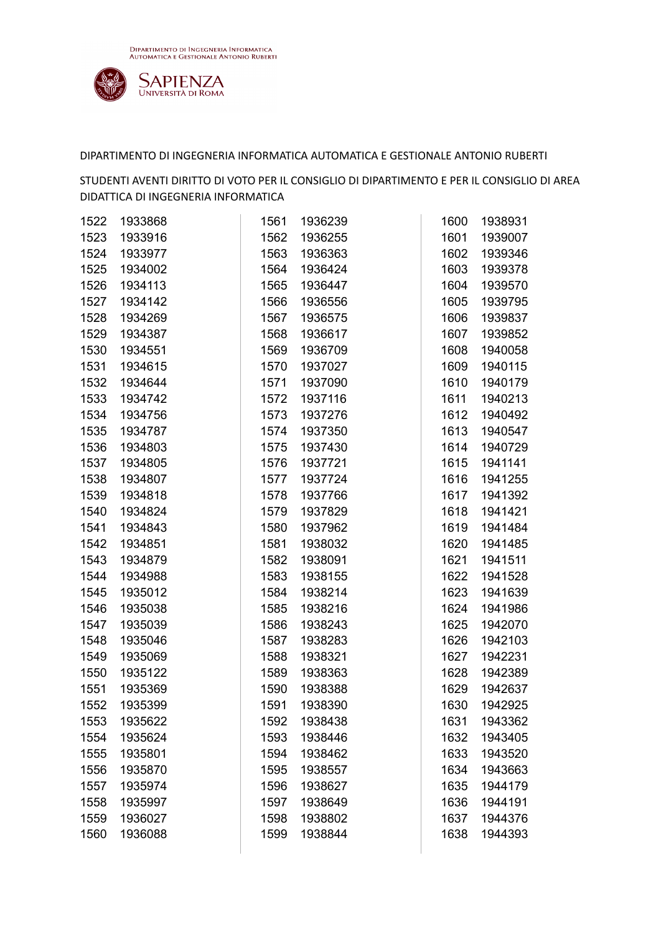

| 1522 | 1933868 | 1561 | 1936239 | 1600 | 1938931 |
|------|---------|------|---------|------|---------|
| 1523 | 1933916 | 1562 | 1936255 | 1601 | 1939007 |
| 1524 | 1933977 | 1563 | 1936363 | 1602 | 1939346 |
| 1525 | 1934002 | 1564 | 1936424 | 1603 | 1939378 |
| 1526 | 1934113 | 1565 | 1936447 | 1604 | 1939570 |
| 1527 | 1934142 | 1566 | 1936556 | 1605 | 1939795 |
| 1528 | 1934269 | 1567 | 1936575 | 1606 | 1939837 |
| 1529 | 1934387 | 1568 | 1936617 | 1607 | 1939852 |
| 1530 | 1934551 | 1569 | 1936709 | 1608 | 1940058 |
| 1531 | 1934615 | 1570 | 1937027 | 1609 | 1940115 |
| 1532 | 1934644 | 1571 | 1937090 | 1610 | 1940179 |
| 1533 | 1934742 | 1572 | 1937116 | 1611 | 1940213 |
| 1534 | 1934756 | 1573 | 1937276 | 1612 | 1940492 |
| 1535 | 1934787 | 1574 | 1937350 | 1613 | 1940547 |
| 1536 | 1934803 | 1575 | 1937430 | 1614 | 1940729 |
| 1537 | 1934805 | 1576 | 1937721 | 1615 | 1941141 |
| 1538 | 1934807 | 1577 | 1937724 | 1616 | 1941255 |
| 1539 | 1934818 | 1578 | 1937766 | 1617 | 1941392 |
| 1540 | 1934824 | 1579 | 1937829 | 1618 | 1941421 |
| 1541 | 1934843 | 1580 | 1937962 | 1619 | 1941484 |
| 1542 | 1934851 | 1581 | 1938032 | 1620 | 1941485 |
| 1543 | 1934879 | 1582 | 1938091 | 1621 | 1941511 |
| 1544 | 1934988 | 1583 | 1938155 | 1622 | 1941528 |
| 1545 | 1935012 | 1584 | 1938214 | 1623 | 1941639 |
| 1546 | 1935038 | 1585 | 1938216 | 1624 | 1941986 |
| 1547 | 1935039 | 1586 | 1938243 | 1625 | 1942070 |
| 1548 | 1935046 | 1587 | 1938283 | 1626 | 1942103 |
| 1549 | 1935069 | 1588 | 1938321 | 1627 | 1942231 |
| 1550 | 1935122 | 1589 | 1938363 | 1628 | 1942389 |
| 1551 | 1935369 | 1590 | 1938388 | 1629 | 1942637 |
| 1552 | 1935399 | 1591 | 1938390 | 1630 | 1942925 |
| 1553 | 1935622 | 1592 | 1938438 | 1631 | 1943362 |
| 1554 | 1935624 | 1593 | 1938446 | 1632 | 1943405 |
| 1555 | 1935801 | 1594 | 1938462 | 1633 | 1943520 |
| 1556 | 1935870 | 1595 | 1938557 | 1634 | 1943663 |
| 1557 | 1935974 | 1596 | 1938627 | 1635 | 1944179 |
| 1558 | 1935997 | 1597 | 1938649 | 1636 | 1944191 |
| 1559 | 1936027 | 1598 | 1938802 | 1637 | 1944376 |
| 1560 | 1936088 | 1599 | 1938844 | 1638 | 1944393 |
|      |         |      |         |      |         |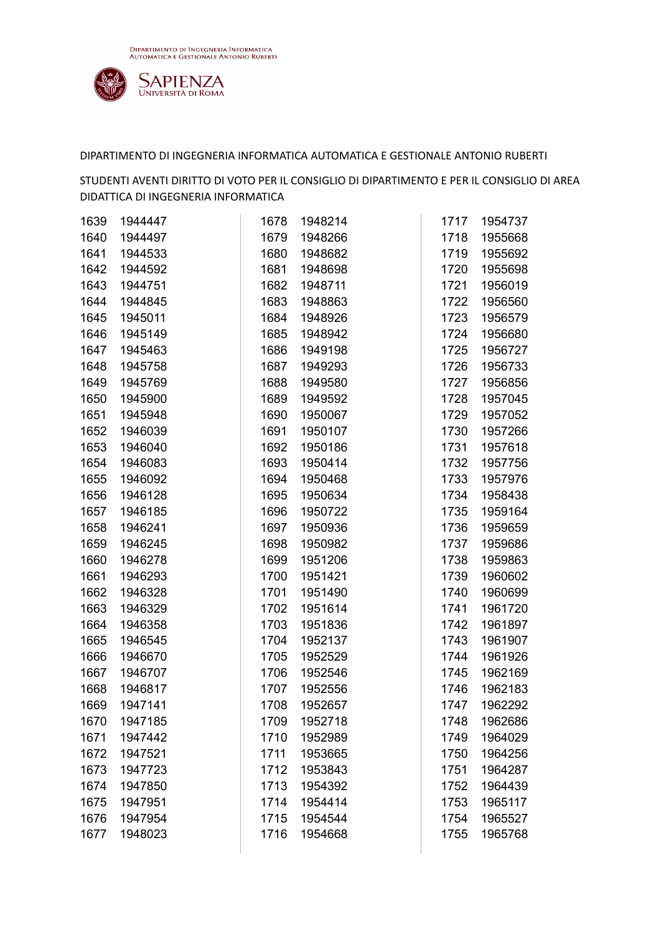

| 1639 | 1944447 | 1678 | 1948214 | 1717 | 1954737 |
|------|---------|------|---------|------|---------|
| 1640 | 1944497 | 1679 | 1948266 | 1718 | 1955668 |
| 1641 | 1944533 | 1680 | 1948682 | 1719 | 1955692 |
| 1642 | 1944592 | 1681 | 1948698 | 1720 | 1955698 |
| 1643 | 1944751 | 1682 | 1948711 | 1721 | 1956019 |
| 1644 | 1944845 | 1683 | 1948863 | 1722 | 1956560 |
| 1645 | 1945011 | 1684 | 1948926 | 1723 | 1956579 |
| 1646 | 1945149 | 1685 | 1948942 | 1724 | 1956680 |
| 1647 | 1945463 | 1686 | 1949198 | 1725 | 1956727 |
| 1648 | 1945758 | 1687 | 1949293 | 1726 | 1956733 |
| 1649 | 1945769 | 1688 | 1949580 | 1727 | 1956856 |
| 1650 | 1945900 | 1689 | 1949592 | 1728 | 1957045 |
| 1651 | 1945948 | 1690 | 1950067 | 1729 | 1957052 |
| 1652 | 1946039 | 1691 | 1950107 | 1730 | 1957266 |
| 1653 | 1946040 | 1692 | 1950186 | 1731 | 1957618 |
| 1654 | 1946083 | 1693 | 1950414 | 1732 | 1957756 |
| 1655 | 1946092 | 1694 | 1950468 | 1733 | 1957976 |
| 1656 | 1946128 | 1695 | 1950634 | 1734 | 1958438 |
| 1657 | 1946185 | 1696 | 1950722 | 1735 | 1959164 |
| 1658 | 1946241 | 1697 | 1950936 | 1736 | 1959659 |
| 1659 | 1946245 | 1698 | 1950982 | 1737 | 1959686 |
| 1660 | 1946278 | 1699 | 1951206 | 1738 | 1959863 |
| 1661 | 1946293 | 1700 | 1951421 | 1739 | 1960602 |
| 1662 | 1946328 | 1701 | 1951490 | 1740 | 1960699 |
| 1663 | 1946329 | 1702 | 1951614 | 1741 | 1961720 |
| 1664 | 1946358 | 1703 | 1951836 | 1742 | 1961897 |
| 1665 | 1946545 | 1704 | 1952137 | 1743 | 1961907 |
| 1666 | 1946670 | 1705 | 1952529 | 1744 | 1961926 |
| 1667 | 1946707 | 1706 | 1952546 | 1745 | 1962169 |
| 1668 | 1946817 | 1707 | 1952556 | 1746 | 1962183 |
| 1669 | 1947141 | 1708 | 1952657 | 1747 | 1962292 |
| 1670 | 1947185 | 1709 | 1952718 | 1748 | 1962686 |
| 1671 | 1947442 | 1710 | 1952989 | 1749 | 1964029 |
| 1672 | 1947521 | 1711 | 1953665 | 1750 | 1964256 |
| 1673 | 1947723 | 1712 | 1953843 | 1751 | 1964287 |
| 1674 | 1947850 | 1713 | 1954392 | 1752 | 1964439 |
| 1675 | 1947951 | 1714 | 1954414 | 1753 | 1965117 |
| 1676 | 1947954 | 1715 | 1954544 | 1754 | 1965527 |
| 1677 | 1948023 | 1716 | 1954668 | 1755 | 1965768 |
|      |         |      |         |      |         |